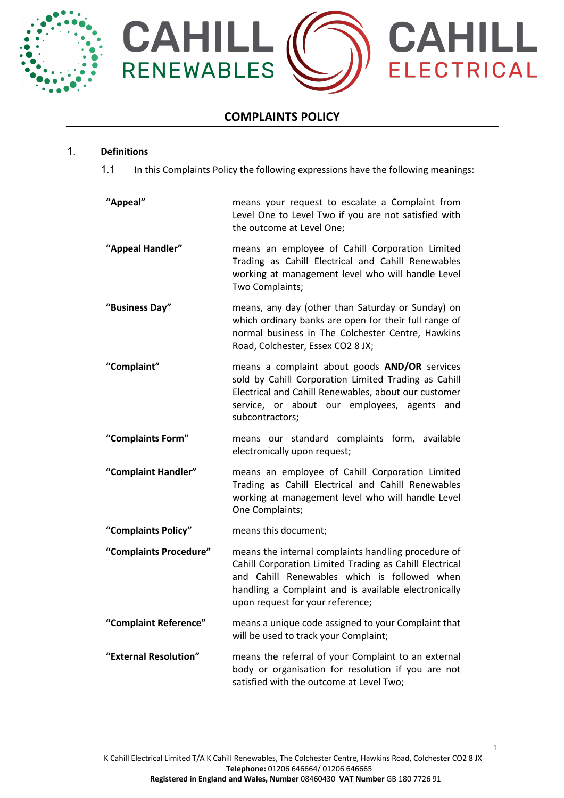



# **COMPLAINTS POLICY**

### 1. **Definitions**

1.1 In this Complaints Policy the following expressions have the following meanings:

| "Appeal"               | means your request to escalate a Complaint from<br>Level One to Level Two if you are not satisfied with<br>the outcome at Level One;                                                                                                                       |
|------------------------|------------------------------------------------------------------------------------------------------------------------------------------------------------------------------------------------------------------------------------------------------------|
| "Appeal Handler"       | means an employee of Cahill Corporation Limited<br>Trading as Cahill Electrical and Cahill Renewables<br>working at management level who will handle Level<br>Two Complaints;                                                                              |
| "Business Day"         | means, any day (other than Saturday or Sunday) on<br>which ordinary banks are open for their full range of<br>normal business in The Colchester Centre, Hawkins<br>Road, Colchester, Essex CO2 8 JX;                                                       |
| "Complaint"            | means a complaint about goods AND/OR services<br>sold by Cahill Corporation Limited Trading as Cahill<br>Electrical and Cahill Renewables, about our customer<br>service, or about our employees, agents<br>and<br>subcontractors;                         |
| "Complaints Form"      | means our standard complaints form, available<br>electronically upon request;                                                                                                                                                                              |
| "Complaint Handler"    | means an employee of Cahill Corporation Limited<br>Trading as Cahill Electrical and Cahill Renewables<br>working at management level who will handle Level<br>One Complaints;                                                                              |
| "Complaints Policy"    | means this document;                                                                                                                                                                                                                                       |
| "Complaints Procedure" | means the internal complaints handling procedure of<br>Cahill Corporation Limited Trading as Cahill Electrical<br>and Cahill Renewables which is followed when<br>handling a Complaint and is available electronically<br>upon request for your reference; |
| "Complaint Reference"  | means a unique code assigned to your Complaint that<br>will be used to track your Complaint;                                                                                                                                                               |
| "External Resolution"  | means the referral of your Complaint to an external<br>body or organisation for resolution if you are not<br>satisfied with the outcome at Level Two;                                                                                                      |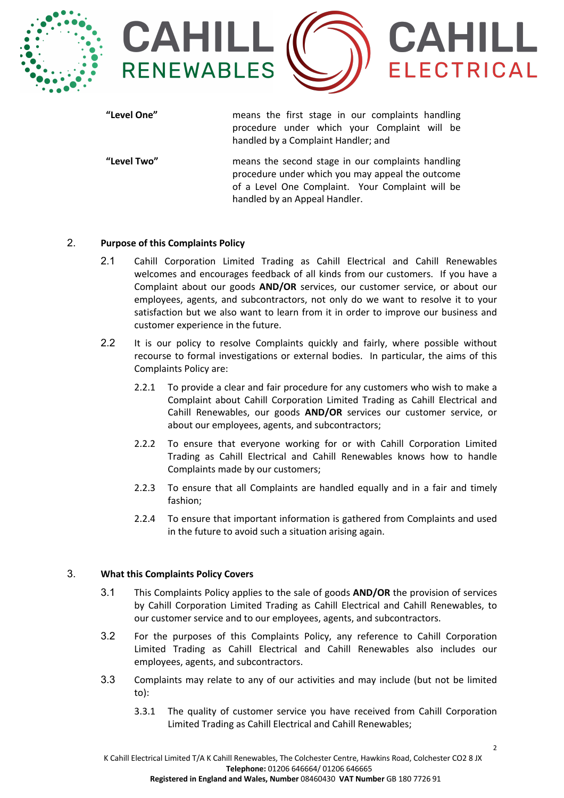



**"Level One"** means the first stage in our complaints handling procedure under which your Complaint will be handled by a Complaint Handler; and

**"Level Two"** means the second stage in our complaints handling procedure under which you may appeal the outcome of a Level One Complaint. Your Complaint will be handled by an Appeal Handler.

## 2. **Purpose of this Complaints Policy**

- 2.1 Cahill Corporation Limited Trading as Cahill Electrical and Cahill Renewables welcomes and encourages feedback of all kinds from our customers. If you have a Complaint about our goods **AND/OR** services, our customer service, or about our employees, agents, and subcontractors, not only do we want to resolve it to your satisfaction but we also want to learn from it in order to improve our business and customer experience in the future.
- 2.2 It is our policy to resolve Complaints quickly and fairly, where possible without recourse to formal investigations or external bodies. In particular, the aims of this Complaints Policy are:
	- 2.2.1 To provide a clear and fair procedure for any customers who wish to make a Complaint about Cahill Corporation Limited Trading as Cahill Electrical and Cahill Renewables, our goods **AND/OR** services our customer service, or about our employees, agents, and subcontractors;
	- 2.2.2 To ensure that everyone working for or with Cahill Corporation Limited Trading as Cahill Electrical and Cahill Renewables knows how to handle Complaints made by our customers;
	- 2.2.3 To ensure that all Complaints are handled equally and in a fair and timely fashion;
	- 2.2.4 To ensure that important information is gathered from Complaints and used in the future to avoid such a situation arising again.

## 3. **What this Complaints Policy Covers**

- 3.1 This Complaints Policy applies to the sale of goods **AND/OR** the provision of services by Cahill Corporation Limited Trading as Cahill Electrical and Cahill Renewables, to our customer service and to our employees, agents, and subcontractors.
- 3.2 For the purposes of this Complaints Policy, any reference to Cahill Corporation Limited Trading as Cahill Electrical and Cahill Renewables also includes our employees, agents, and subcontractors.
- 3.3 Complaints may relate to any of our activities and may include (but not be limited to):
	- 3.3.1 The quality of customer service you have received from Cahill Corporation Limited Trading as Cahill Electrical and Cahill Renewables;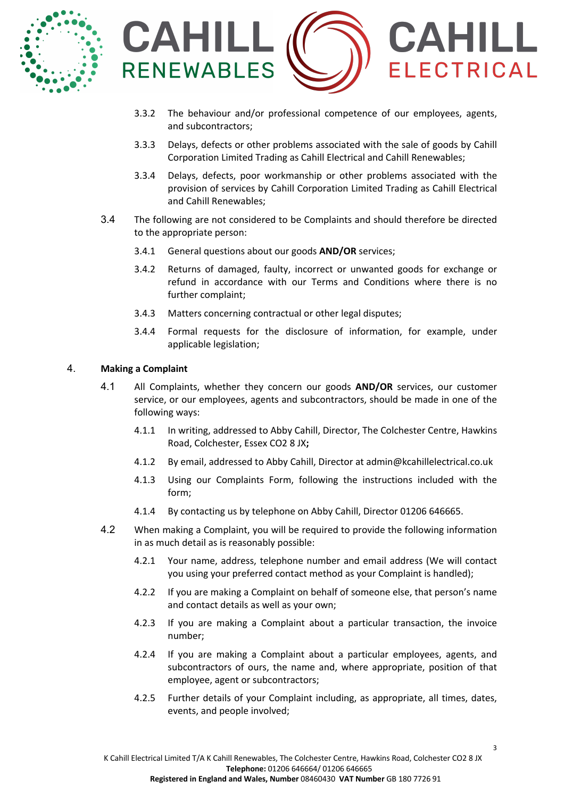



- 3.3.2 The behaviour and/or professional competence of our employees, agents, and subcontractors;
- 3.3.3 Delays, defects or other problems associated with the sale of goods by Cahill Corporation Limited Trading as Cahill Electrical and Cahill Renewables;
- 3.3.4 Delays, defects, poor workmanship or other problems associated with the provision of services by Cahill Corporation Limited Trading as Cahill Electrical and Cahill Renewables;
- 3.4 The following are not considered to be Complaints and should therefore be directed to the appropriate person:
	- 3.4.1 General questions about our goods **AND/OR** services;
	- 3.4.2 Returns of damaged, faulty, incorrect or unwanted goods for exchange or refund in accordance with our Terms and Conditions where there is no further complaint;
	- 3.4.3 Matters concerning contractual or other legal disputes;
	- 3.4.4 Formal requests for the disclosure of information, for example, under applicable legislation;

### 4. **Making a Complaint**

- 4.1 All Complaints, whether they concern our goods **AND/OR** services, our customer service, or our employees, agents and subcontractors, should be made in one of the following ways:
	- 4.1.1 In writing, addressed to Abby Cahill, Director, The Colchester Centre, Hawkins Road, Colchester, Essex CO2 8 JX**;**
	- 4.1.2 By email, addressed to Abby Cahill, Director at admin@kcahillelectrical.co.uk
	- 4.1.3 Using our Complaints Form, following the instructions included with the form;
	- 4.1.4 By contacting us by telephone on Abby Cahill, Director 01206 646665.
- 4.2 When making a Complaint, you will be required to provide the following information in as much detail as is reasonably possible:
	- 4.2.1 Your name, address, telephone number and email address (We will contact you using your preferred contact method as your Complaint is handled);
	- 4.2.2 If you are making a Complaint on behalf of someone else, that person's name and contact details as well as your own;
	- 4.2.3 If you are making a Complaint about a particular transaction, the invoice number;
	- 4.2.4 If you are making a Complaint about a particular employees, agents, and subcontractors of ours, the name and, where appropriate, position of that employee, agent or subcontractors;
	- 4.2.5 Further details of your Complaint including, as appropriate, all times, dates, events, and people involved;

3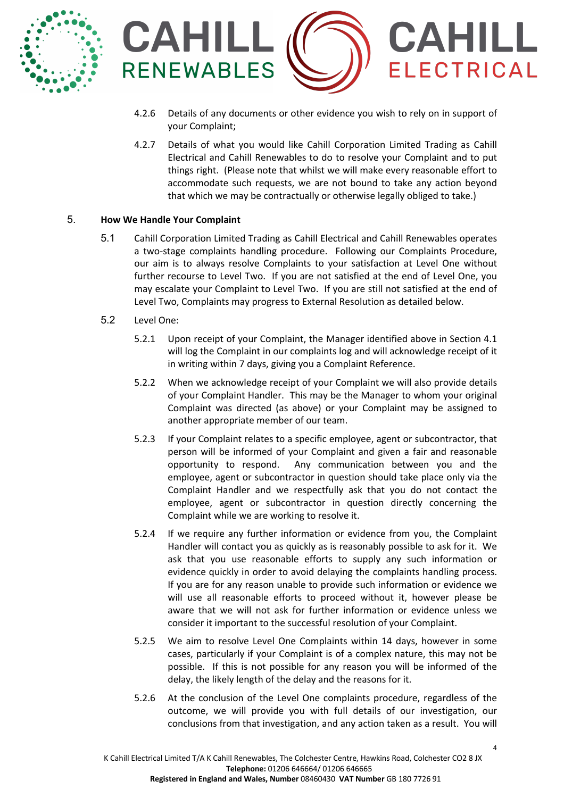



- 4.2.6 Details of any documents or other evidence you wish to rely on in support of your Complaint;
- 4.2.7 Details of what you would like Cahill Corporation Limited Trading as Cahill Electrical and Cahill Renewables to do to resolve your Complaint and to put things right. (Please note that whilst we will make every reasonable effort to accommodate such requests, we are not bound to take any action beyond that which we may be contractually or otherwise legally obliged to take.)

## 5. **How We Handle Your Complaint**

- 5.1 Cahill Corporation Limited Trading as Cahill Electrical and Cahill Renewables operates a two-stage complaints handling procedure. Following our Complaints Procedure, our aim is to always resolve Complaints to your satisfaction at Level One without further recourse to Level Two. If you are not satisfied at the end of Level One, you may escalate your Complaint to Level Two. If you are still not satisfied at the end of Level Two, Complaints may progress to External Resolution as detailed below.
- 5.2 Level One:
	- 5.2.1 Upon receipt of your Complaint, the Manager identified above in Section 4.1 will log the Complaint in our complaints log and will acknowledge receipt of it in writing within 7 days, giving you a Complaint Reference.
	- 5.2.2 When we acknowledge receipt of your Complaint we will also provide details of your Complaint Handler. This may be the Manager to whom your original Complaint was directed (as above) or your Complaint may be assigned to another appropriate member of our team.
	- 5.2.3 If your Complaint relates to a specific employee, agent or subcontractor, that person will be informed of your Complaint and given a fair and reasonable opportunity to respond. Any communication between you and the employee, agent or subcontractor in question should take place only via the Complaint Handler and we respectfully ask that you do not contact the employee, agent or subcontractor in question directly concerning the Complaint while we are working to resolve it.
	- 5.2.4 If we require any further information or evidence from you, the Complaint Handler will contact you as quickly as is reasonably possible to ask for it. We ask that you use reasonable efforts to supply any such information or evidence quickly in order to avoid delaying the complaints handling process. If you are for any reason unable to provide such information or evidence we will use all reasonable efforts to proceed without it, however please be aware that we will not ask for further information or evidence unless we consider it important to the successful resolution of your Complaint.
	- 5.2.5 We aim to resolve Level One Complaints within 14 days, however in some cases, particularly if your Complaint is of a complex nature, this may not be possible. If this is not possible for any reason you will be informed of the delay, the likely length of the delay and the reasons for it.
	- 5.2.6 At the conclusion of the Level One complaints procedure, regardless of the outcome, we will provide you with full details of our investigation, our conclusions from that investigation, and any action taken as a result. You will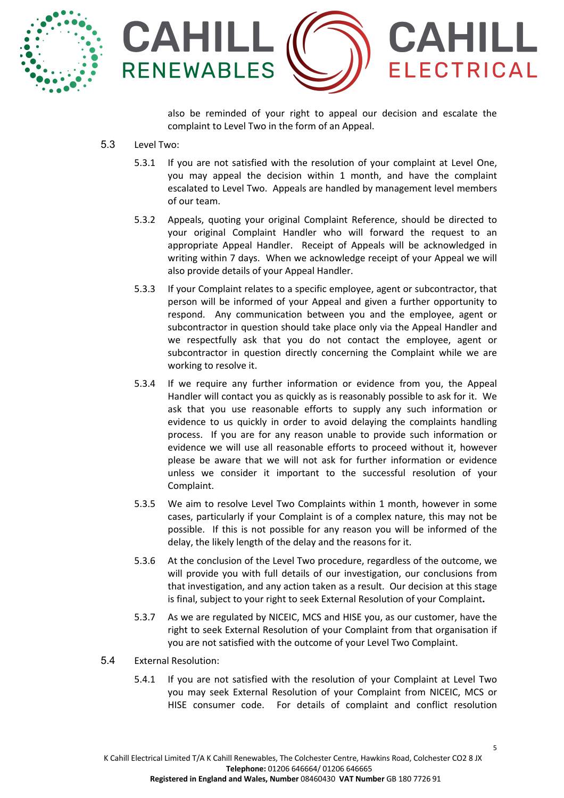



also be reminded of your right to appeal our decision and escalate the complaint to Level Two in the form of an Appeal.

- 5.3 Level Two:
	- 5.3.1 If you are not satisfied with the resolution of your complaint at Level One, you may appeal the decision within 1 month, and have the complaint escalated to Level Two. Appeals are handled by management level members of our team.
	- 5.3.2 Appeals, quoting your original Complaint Reference, should be directed to your original Complaint Handler who will forward the request to an appropriate Appeal Handler. Receipt of Appeals will be acknowledged in writing within 7 days. When we acknowledge receipt of your Appeal we will also provide details of your Appeal Handler.
	- 5.3.3 If your Complaint relates to a specific employee, agent or subcontractor, that person will be informed of your Appeal and given a further opportunity to respond. Any communication between you and the employee, agent or subcontractor in question should take place only via the Appeal Handler and we respectfully ask that you do not contact the employee, agent or subcontractor in question directly concerning the Complaint while we are working to resolve it.
	- 5.3.4 If we require any further information or evidence from you, the Appeal Handler will contact you as quickly as is reasonably possible to ask for it. We ask that you use reasonable efforts to supply any such information or evidence to us quickly in order to avoid delaying the complaints handling process. If you are for any reason unable to provide such information or evidence we will use all reasonable efforts to proceed without it, however please be aware that we will not ask for further information or evidence unless we consider it important to the successful resolution of your Complaint.
	- 5.3.5 We aim to resolve Level Two Complaints within 1 month, however in some cases, particularly if your Complaint is of a complex nature, this may not be possible. If this is not possible for any reason you will be informed of the delay, the likely length of the delay and the reasons for it.
	- 5.3.6 At the conclusion of the Level Two procedure, regardless of the outcome, we will provide you with full details of our investigation, our conclusions from that investigation, and any action taken as a result. Our decision at this stage is final, subject to your right to seek External Resolution of your Complaint**.**
	- 5.3.7 As we are regulated by NICEIC, MCS and HISE you, as our customer, have the right to seek External Resolution of your Complaint from that organisation if you are not satisfied with the outcome of your Level Two Complaint.
- 5.4 External Resolution:
	- 5.4.1 If you are not satisfied with the resolution of your Complaint at Level Two you may seek External Resolution of your Complaint from NICEIC, MCS or HISE consumer code. For details of complaint and conflict resolution

5